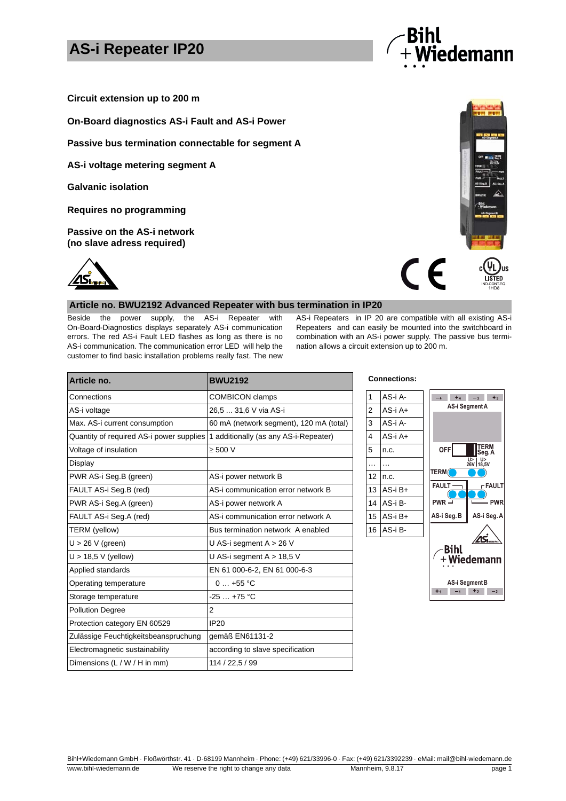# **AS-i Repeater IP20**



**Circuit extension up to 200 m**

**On-Board diagnostics AS-i Fault and AS-i Power** 

**Passive bus termination connectable for segment A**

**AS-i voltage metering segment A**

**Galvanic isolation**

**Requires no programming**

**Passive on the AS-i network (no slave adress required)**



#### **Article no. BWU2192 Advanced Repeater with bus termination in IP20**

Beside the power supply, the AS-i Repeater with On-Board-Diagnostics displays separately AS-i communication errors. The red AS-i Fault LED flashes as long as there is no AS-i communication. The communication error LED will help the customer to find basic installation problems really fast. The new

AS-i Repeaters in IP 20 are compatible with all existing AS-i Repeaters and can easily be mounted into the switchboard in combination with an AS-i power supply. The passive bus termination allows a circuit extension up to 200 m.

 $\epsilon$ 

ПŚ LISTED

| Article no.                              | <b>BWU2192</b>                          | <b>Connections:</b> |             |
|------------------------------------------|-----------------------------------------|---------------------|-------------|
| Connections                              | <b>COMBICON</b> clamps                  | 1                   | AS-i A-     |
| AS-i voltage                             | 26,5  31,6 V via AS-i                   | $\overline{2}$      | $AS - iA +$ |
| Max. AS-i current consumption            | 60 mA (network segment), 120 mA (total) | 3                   | AS-i A-     |
| Quantity of required AS-i power supplies | 1 additionally (as any AS-i-Repeater)   | 4                   | AS-i A+     |
| Voltage of insulation                    | $\geq 500$ V                            | 5                   | n.c.        |
| Display                                  |                                         |                     | $\cdots$    |
| PWR AS-i Seg.B (green)                   | AS-i power network B                    | 12                  | n.c.        |
| FAULT AS-i Seg.B (red)                   | AS-i communication error network B      | 13                  | AS-i B+     |
| PWR AS-i Seg.A (green)                   | AS-i power network A                    | 14                  | AS-i B-     |
| FAULT AS-i Seg.A (red)                   | AS-i communication error network A      | 15                  | AS-i B+     |
| TERM (yellow)                            | Bus termination network A enabled       |                     | 16 AS-i B-  |
| $U > 26$ V (green)                       | U AS-i segment $A > 26$ V               |                     |             |
| $U > 18.5 V$ (yellow)                    | U AS-i segment $A > 18.5$ V             |                     |             |
| Applied standards                        | EN 61 000-6-2, EN 61 000-6-3            |                     |             |
| Operating temperature                    | $0+55$ °C                               |                     |             |
| Storage temperature                      | $-25+75$ °C                             |                     |             |
| <b>Pollution Degree</b>                  | $\overline{2}$                          |                     |             |
| Protection category EN 60529             | <b>IP20</b>                             |                     |             |
| Zulässige Feuchtigkeitsbeanspruchung     | gemäß EN61131-2                         |                     |             |
| Electromagnetic sustainability           | according to slave specification        |                     |             |
| Dimensions (L / W / H in mm)             | 114 / 22,5 / 99                         |                     |             |



Bihl+Wiedemann GmbH · Floßwörthstr. 41 · D-68199 Mannheim · Phone: (+49) 621/33996-0 · Fax: (+49) 621/3392239 · eMail: mail@bihl-wiedemann.de ww.bihl-wiedemann.de We reserve the right to change any data Mannheim, 9.8.17 page 1